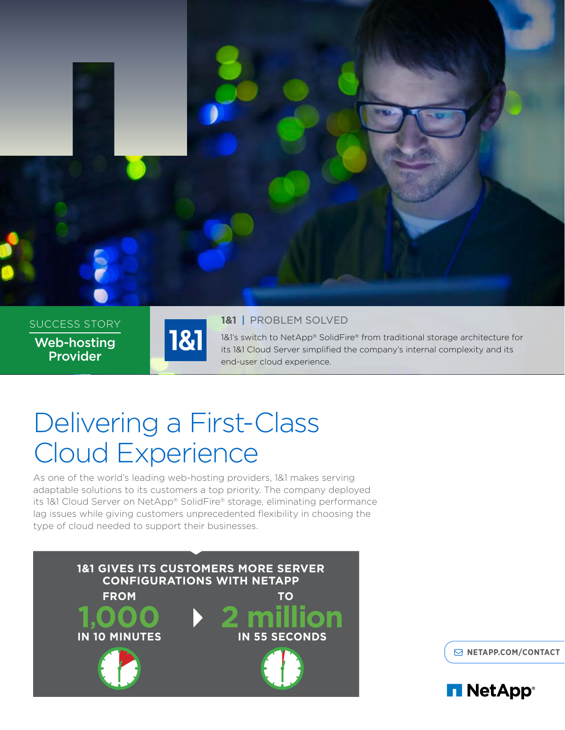

SUCCESS STORY Web-hosting Provider



#### **1&1** | PROBLEM SOLVED

1&1's switch to NetApp® SolidFire® from traditional storage architecture for its 1&1 Cloud Server simplified the company's internal complexity and its end-user cloud experience.

# Delivering a First-Class Cloud Experience

As one of the world's leading web-hosting providers, 1&1 makes serving adaptable solutions to its customers a top priority. The company deployed its 1&1 Cloud Server on NetApp® SolidFire® storage, eliminating performance lag issues while giving customers unprecedented flexibility in choosing the type of cloud needed to support their businesses.



**[NETAPP.COM/CONTACT](http://www.netapp.com/us/forms/sales-contact.aspx)**

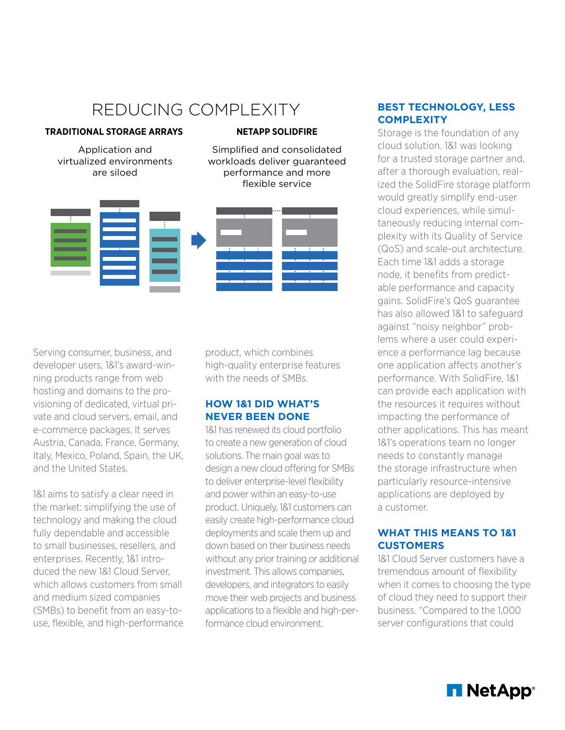# REDUCING COMPLEXITY

#### **TRADITIONAL STORAGE ARRAYS**

Application and virtualized environments are siloed

#### **NETAPP SOLIDFIRE**

Simplified and consolidated workloads deliver guaranteed performance and more flexible service



Serving consumer, business, and developer users, 1&1's award-winning products range from web hosting and domains to the provisioning of dedicated, virtual private and cloud servers, email, and e-commerce packages. It serves Austria, Canada, France, Germany, Italy, Mexico, Poland, Spain, the UK, and the United States.

1&1 aims to satisfy a clear need in the market: simplifying the use of technology and making the cloud fully dependable and accessible to small businesses, resellers, and enterprises. Recently, 1&1 introduced the new 1&1 Cloud Server, which allows customers from small and medium sized companies (SMBs) to benefit from an easy-touse, flexible, and high-performance product, which combines high-quality enterprise features with the needs of SMBs.

#### **HOW 1&1 DID WHAT'S NEVER BEEN DONE**

1&1 has renewed its cloud portfolio to create a new generation of cloud solutions. The main goal was to design a new cloud offering for SMBs to deliver enterprise-level flexibility and power within an easy-to-use product. Uniquely, 1&1 customers can easily create high-performance cloud deployments and scale them up and down based on their business needs without any prior training or additional investment. This allows companies, developers, and integrators to easily move their web projects and business applications to a flexible and high-performance cloud environment.

#### **BEST TECHNOLOGY, LESS COMPLEXITY**

Storage is the foundation of any cloud solution. 1&1 was looking for a trusted storage partner and, after a thorough evaluation, realized the SolidFire storage platform would greatly simplify end-user cloud experiences, while simultaneously reducing internal complexity with its Quality of Service (QoS) and scale-out architecture. Each time 1&1 adds a storage node, it benefits from predictable performance and capacity gains. SolidFire's QoS guarantee has also allowed 1&1 to safeguard against "noisy neighbor" problems where a user could experience a performance lag because one application affects another's performance. With SolidFire, 1&1 can provide each application with the resources it requires without impacting the performance of other applications. This has meant 1&1's operations team no longer needs to constantly manage the storage infrastructure when particularly resource-intensive applications are deployed by a customer.

#### **WHAT THIS MEANS TO 1&1 CUSTOMERS**

1&1 Cloud Server customers have a tremendous amount of flexibility when it comes to choosing the type of cloud they need to support their business. "Compared to the 1,000 server configurations that could

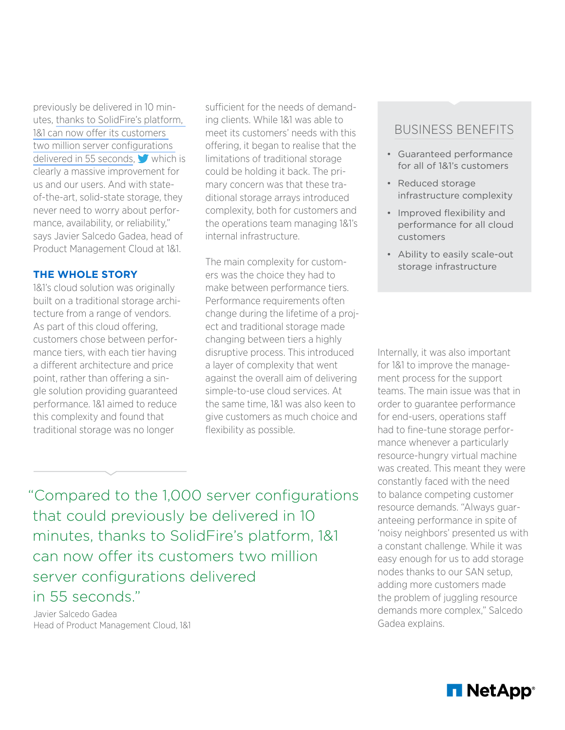previously be delivered in 10 minutes, [thanks to SolidFire's platform,](http://ctt.ec/Ea574)  [1&1 can now offer its customers](http://ctt.ec/Ea574)  [two million server configurations](http://ctt.ec/Ea574)  [delivered in 55 seconds](http://ctt.ec/Ea574),  $\blacktriangleright$  which is clearly a massive improvement for us and our users. And with stateof-the-art, solid-state storage, they never need to worry about performance, availability, or reliability," says Javier Salcedo Gadea, head of Product Management Cloud at 1&1.

#### **THE WHOLE STORY**

1&1's cloud solution was originally built on a traditional storage architecture from a range of vendors. As part of this cloud offering, customers chose between performance tiers, with each tier having a different architecture and price point, rather than offering a single solution providing guaranteed performance. 1&1 aimed to reduce this complexity and found that traditional storage was no longer

sufficient for the needs of demanding clients. While 1&1 was able to meet its customers' needs with this offering, it began to realise that the limitations of traditional storage could be holding it back. The primary concern was that these traditional storage arrays introduced complexity, both for customers and the operations team managing 1&1's internal infrastructure.

The main complexity for customers was the choice they had to make between performance tiers. Performance requirements often change during the lifetime of a project and traditional storage made changing between tiers a highly disruptive process. This introduced a layer of complexity that went against the overall aim of delivering simple-to-use cloud services. At the same time, 1&1 was also keen to give customers as much choice and flexibility as possible.

### BUSINESS BENEFITS

- Guaranteed performance for all of 1&1's customers
- Reduced storage infrastructure complexity
- Improved flexibility and performance for all cloud customers
- Ability to easily scale-out storage infrastructure

Internally, it was also important for 1&1 to improve the management process for the support teams. The main issue was that in order to guarantee performance for end-users, operations staff had to fine-tune storage performance whenever a particularly resource-hungry virtual machine was created. This meant they were constantly faced with the need to balance competing customer resource demands. "Always guaranteeing performance in spite of 'noisy neighbors' presented us with a constant challenge. While it was easy enough for us to add storage nodes thanks to our SAN setup, adding more customers made the problem of juggling resource demands more complex," Salcedo Gadea explains.

"Compared to the 1,000 server configurations that could previously be delivered in 10 minutes, thanks to SolidFire's platform, 1&1 can now offer its customers two million server configurations delivered in 55 seconds."

Javier Salcedo Gadea Head of Product Management Cloud, 1&1

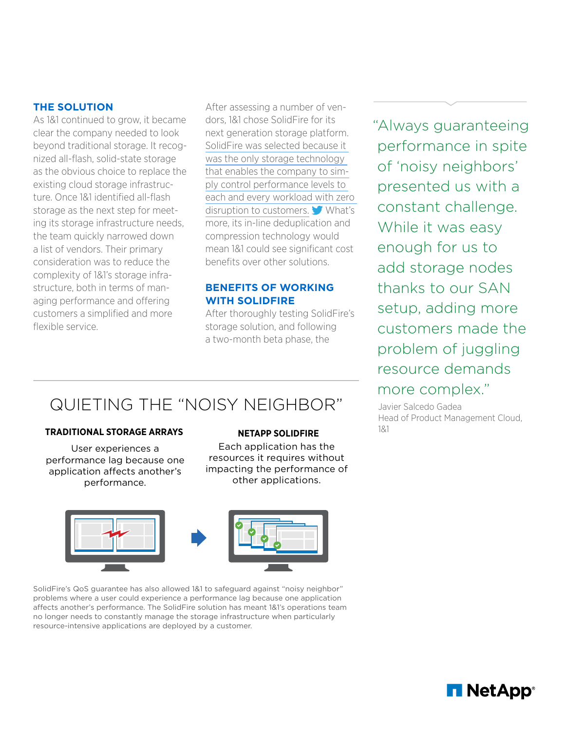#### **THE SOLUTION**

As 1&1 continued to grow, it became clear the company needed to look beyond traditional storage. It recognized all-flash, solid-state storage as the obvious choice to replace the existing cloud storage infrastructure. Once 1&1 identified all-flash storage as the next step for meetstorage as the next step for meet the team quickly narrowed down a list of vendors. Their primary consideration was to reduce the complexity of 1&1's storage infrastructure, both in terms of managing performance and offering customers a simplified and more flexible service. vistuage innastructure need<br>Turkiya

After assessing a number of vendors, 1&1 chose SolidFire for its next generation storage platform. [SolidFire was selected because it](http://ctt.ec/4lqGF)  [was the only storage technology](http://ctt.ec/4lqGF)  [that enables the company to sim](http://ctt.ec/4lqGF)s choice to replace the that enables the company to sim-<br>storage infrastruc- ply control performance levels to each and every workload with zero [disruption to customers.](http://ctt.ec/4lqGF) What's **Simplified Consolidate Consolidate Consolidate Consolidate Consolidate and consolidate and consolidate and consolidate** compression technology would mean 1&1 could see significant cost benefits over other solutions. nore, its in line deduplication and

#### **BENEFITS OF WORKING WITH SOLIDFIRE**

After thoroughly testing SolidFire's storage solution, and following a two-month beta phase, the

QUIETING THE "NOISY NEIGHBOR"

#### **TRADITIONAL STORAGE ARRAYS**

User experiences a performance lag because one application affects another's performance.

#### **NETAPP SOLIDFIRE**

Each application has the resources it requires without impacting the performance of other applications.



SolidFire's QoS guarantee has also allowed 1&1 to safeguard against "noisy neighbor" problems where a user could experience a performance lag because one application affects another's performance. The SolidFire solution has meant 1&1's operations team no longer needs to constantly manage the storage infrastructure when particularly resource-intensive applications are deployed by a customer.

"Always guaranteeing performance in spite of 'noisy neighbors' presented us with a constant challenge. While it was easy enough for us to add storage nodes thanks to our SAN setup, adding more customers made the problem of juggling resource demands more complex."

Javier Salcedo Gadea Head of Product Management Cloud, 1&1